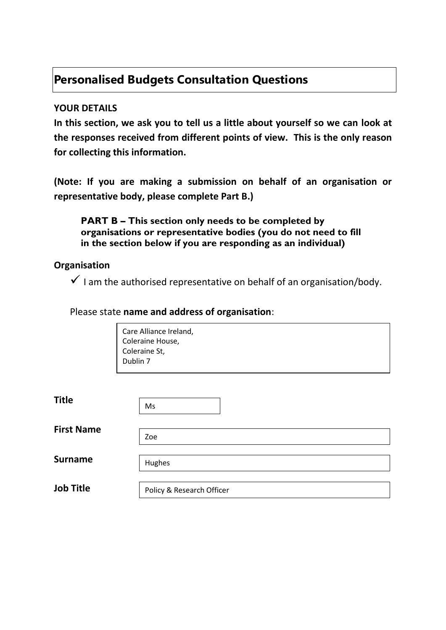# **Personalised Budgets Consultation Questions**

#### **YOUR DETAILS**

**In this section, we ask you to tell us a little about yourself so we can look at the responses received from different points of view. This is the only reason for collecting this information.** 

**(Note: If you are making a submission on behalf of an organisation or representative body, please complete Part B.)**

**PART B – This section only needs to be completed by organisations or representative bodies (you do not need to fill in the section below if you are responding as an individual)**

#### **Organisation**

 $\checkmark$  I am the authorised representative on behalf of an organisation/body.

#### Please state **name and address of organisation**:

| Care Alliance Ireland, |  |  |
|------------------------|--|--|
| Coleraine House,       |  |  |
| Coleraine St,          |  |  |
| Dublin 7               |  |  |
|                        |  |  |

| <b>Title</b>      | Ms                        |  |  |
|-------------------|---------------------------|--|--|
|                   |                           |  |  |
| <b>First Name</b> | Zoe                       |  |  |
|                   |                           |  |  |
| <b>Surname</b>    | Hughes                    |  |  |
|                   |                           |  |  |
| <b>Job Title</b>  | Policy & Research Officer |  |  |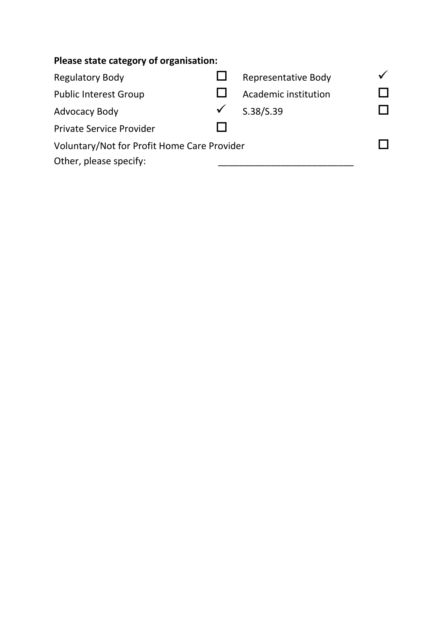| Please state category of organisation:      |  |                            |  |  |  |
|---------------------------------------------|--|----------------------------|--|--|--|
| <b>Regulatory Body</b>                      |  | <b>Representative Body</b> |  |  |  |
| <b>Public Interest Group</b>                |  | Academic institution       |  |  |  |
| <b>Advocacy Body</b>                        |  | S.38/S.39                  |  |  |  |
| <b>Private Service Provider</b>             |  |                            |  |  |  |
| Voluntary/Not for Profit Home Care Provider |  |                            |  |  |  |
| Other, please specify:                      |  |                            |  |  |  |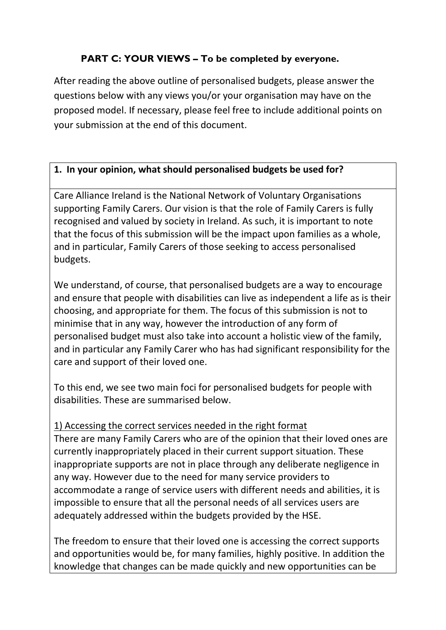# **PART C: YOUR VIEWS – To be completed by everyone.**

After reading the above outline of personalised budgets, please answer the questions below with any views you/or your organisation may have on the proposed model. If necessary, please feel free to include additional points on your submission at the end of this document.

#### **1. In your opinion, what should personalised budgets be used for?**

Care Alliance Ireland is the National Network of Voluntary Organisations supporting Family Carers. Our vision is that the role of Family Carers is fully recognised and valued by society in Ireland. As such, it is important to note that the focus of this submission will be the impact upon families as a whole, and in particular, Family Carers of those seeking to access personalised budgets.

We understand, of course, that personalised budgets are a way to encourage and ensure that people with disabilities can live as independent a life as is their choosing, and appropriate for them. The focus of this submission is not to minimise that in any way, however the introduction of any form of personalised budget must also take into account a holistic view of the family, and in particular any Family Carer who has had significant responsibility for the care and support of their loved one.

To this end, we see two main foci for personalised budgets for people with disabilities. These are summarised below.

### 1) Accessing the correct services needed in the right format

There are many Family Carers who are of the opinion that their loved ones are currently inappropriately placed in their current support situation. These inappropriate supports are not in place through any deliberate negligence in any way. However due to the need for many service providers to accommodate a range of service users with different needs and abilities, it is impossible to ensure that all the personal needs of all services users are adequately addressed within the budgets provided by the HSE.

The freedom to ensure that their loved one is accessing the correct supports and opportunities would be, for many families, highly positive. In addition the knowledge that changes can be made quickly and new opportunities can be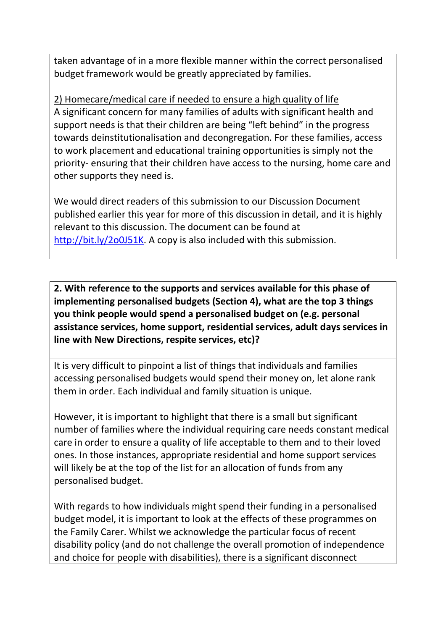taken advantage of in a more flexible manner within the correct personalised budget framework would be greatly appreciated by families.

2) Homecare/medical care if needed to ensure a high quality of life A significant concern for many families of adults with significant health and support needs is that their children are being "left behind" in the progress towards deinstitutionalisation and decongregation. For these families, access to work placement and educational training opportunities is simply not the priority- ensuring that their children have access to the nursing, home care and other supports they need is.

We would direct readers of this submission to our Discussion Document published earlier this year for more of this discussion in detail, and it is highly relevant to this discussion. The document can be found at [http://bit.ly/2o0J51K.](http://bit.ly/2o0J51K) A copy is also included with this submission.

**2. With reference to the supports and services available for this phase of implementing personalised budgets (Section 4), what are the top 3 things you think people would spend a personalised budget on (e.g. personal assistance services, home support, residential services, adult days services in line with New Directions, respite services, etc)?**

It is very difficult to pinpoint a list of things that individuals and families accessing personalised budgets would spend their money on, let alone rank them in order. Each individual and family situation is unique.

However, it is important to highlight that there is a small but significant number of families where the individual requiring care needs constant medical care in order to ensure a quality of life acceptable to them and to their loved ones. In those instances, appropriate residential and home support services will likely be at the top of the list for an allocation of funds from any personalised budget.

With regards to how individuals might spend their funding in a personalised budget model, it is important to look at the effects of these programmes on the Family Carer. Whilst we acknowledge the particular focus of recent disability policy (and do not challenge the overall promotion of independence and choice for people with disabilities), there is a significant disconnect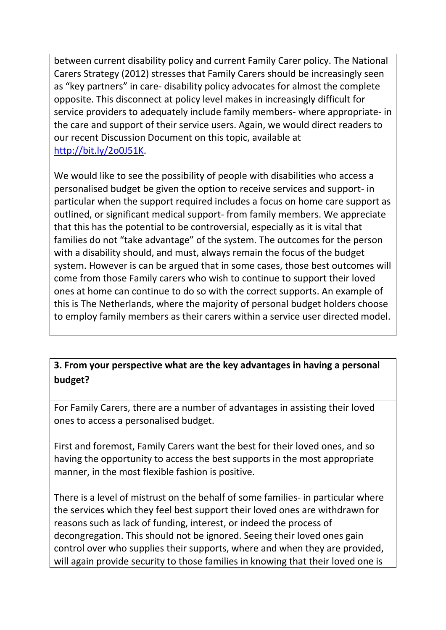between current disability policy and current Family Carer policy. The National Carers Strategy (2012) stresses that Family Carers should be increasingly seen as "key partners" in care- disability policy advocates for almost the complete opposite. This disconnect at policy level makes in increasingly difficult for service providers to adequately include family members- where appropriate- in the care and support of their service users. Again, we would direct readers to our recent Discussion Document on this topic, available at [http://bit.ly/2o0J51K.](http://bit.ly/2o0J51K)

We would like to see the possibility of people with disabilities who access a personalised budget be given the option to receive services and support- in particular when the support required includes a focus on home care support as outlined, or significant medical support- from family members. We appreciate that this has the potential to be controversial, especially as it is vital that families do not "take advantage" of the system. The outcomes for the person with a disability should, and must, always remain the focus of the budget system. However is can be argued that in some cases, those best outcomes will come from those Family carers who wish to continue to support their loved ones at home can continue to do so with the correct supports. An example of this is The Netherlands, where the majority of personal budget holders choose to employ family members as their carers within a service user directed model.

# **3. From your perspective what are the key advantages in having a personal budget?**

For Family Carers, there are a number of advantages in assisting their loved ones to access a personalised budget.

First and foremost, Family Carers want the best for their loved ones, and so having the opportunity to access the best supports in the most appropriate manner, in the most flexible fashion is positive.

There is a level of mistrust on the behalf of some families- in particular where the services which they feel best support their loved ones are withdrawn for reasons such as lack of funding, interest, or indeed the process of decongregation. This should not be ignored. Seeing their loved ones gain control over who supplies their supports, where and when they are provided, will again provide security to those families in knowing that their loved one is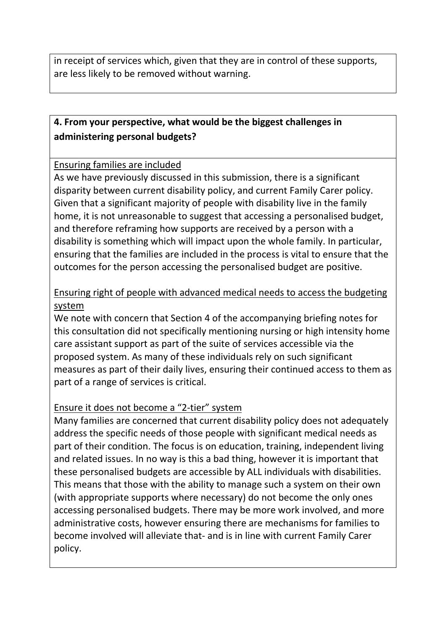in receipt of services which, given that they are in control of these supports, are less likely to be removed without warning.

# **4. From your perspective, what would be the biggest challenges in administering personal budgets?**

#### - Ensuring families are included

As we have previously discussed in this submission, there is a significant disparity between current disability policy, and current Family Carer policy. Given that a significant majority of people with disability live in the family home, it is not unreasonable to suggest that accessing a personalised budget, and therefore reframing how supports are received by a person with a disability is something which will impact upon the whole family. In particular, ensuring that the families are included in the process is vital to ensure that the outcomes for the person accessing the personalised budget are positive.

### - Ensuring right of people with advanced medical needs to access the budgeting system

We note with concern that Section 4 of the accompanying briefing notes for this consultation did not specifically mentioning nursing or high intensity home care assistant support as part of the suite of services accessible via the proposed system. As many of these individuals rely on such significant measures as part of their daily lives, ensuring their continued access to them as part of a range of services is critical.

### Ensure it does not become a "2-tier" system

Many families are concerned that current disability policy does not adequately address the specific needs of those people with significant medical needs as part of their condition. The focus is on education, training, independent living and related issues. In no way is this a bad thing, however it is important that these personalised budgets are accessible by ALL individuals with disabilities. This means that those with the ability to manage such a system on their own (with appropriate supports where necessary) do not become the only ones accessing personalised budgets. There may be more work involved, and more administrative costs, however ensuring there are mechanisms for families to become involved will alleviate that- and is in line with current Family Carer policy.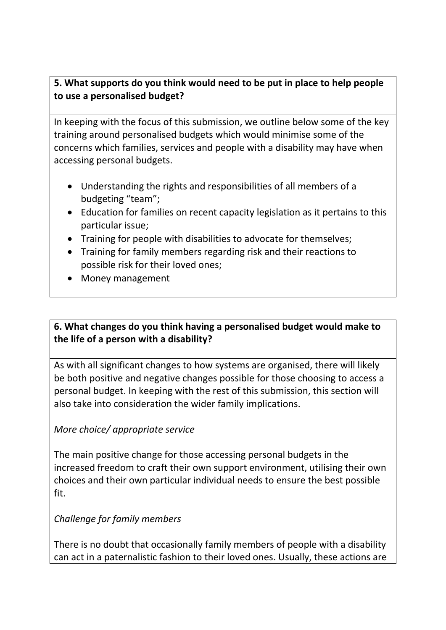# **5. What supports do you think would need to be put in place to help people to use a personalised budget?**

In keeping with the focus of this submission, we outline below some of the key training around personalised budgets which would minimise some of the concerns which families, services and people with a disability may have when accessing personal budgets.

- Understanding the rights and responsibilities of all members of a budgeting "team";
- Education for families on recent capacity legislation as it pertains to this particular issue;
- Training for people with disabilities to advocate for themselves;
- Training for family members regarding risk and their reactions to possible risk for their loved ones;
- Money management

# **6. What changes do you think having a personalised budget would make to the life of a person with a disability?**

As with all significant changes to how systems are organised, there will likely be both positive and negative changes possible for those choosing to access a personal budget. In keeping with the rest of this submission, this section will also take into consideration the wider family implications.

### *More choice/ appropriate service*

The main positive change for those accessing personal budgets in the increased freedom to craft their own support environment, utilising their own choices and their own particular individual needs to ensure the best possible fit.

### *Challenge for family members*

There is no doubt that occasionally family members of people with a disability can act in a paternalistic fashion to their loved ones. Usually, these actions are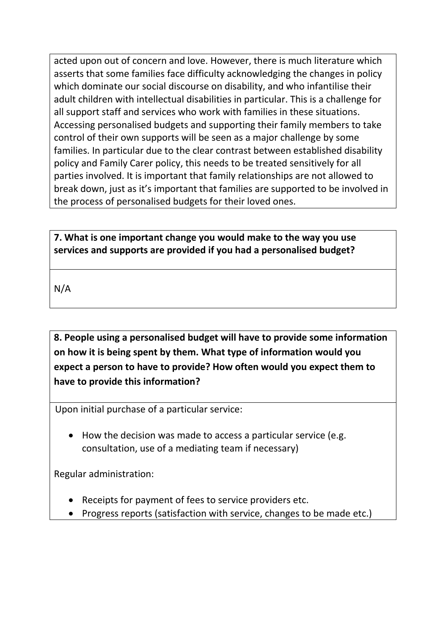acted upon out of concern and love. However, there is much literature which asserts that some families face difficulty acknowledging the changes in policy which dominate our social discourse on disability, and who infantilise their adult children with intellectual disabilities in particular. This is a challenge for all support staff and services who work with families in these situations. Accessing personalised budgets and supporting their family members to take control of their own supports will be seen as a major challenge by some families. In particular due to the clear contrast between established disability policy and Family Carer policy, this needs to be treated sensitively for all parties involved. It is important that family relationships are not allowed to break down, just as it's important that families are supported to be involved in the process of personalised budgets for their loved ones.

**7. What is one important change you would make to the way you use services and supports are provided if you had a personalised budget?**

N/A

**8. People using a personalised budget will have to provide some information on how it is being spent by them. What type of information would you expect a person to have to provide? How often would you expect them to have to provide this information?**

Upon initial purchase of a particular service:

• How the decision was made to access a particular service (e.g. consultation, use of a mediating team if necessary)

Regular administration:

- Receipts for payment of fees to service providers etc.
- Progress reports (satisfaction with service, changes to be made etc.)